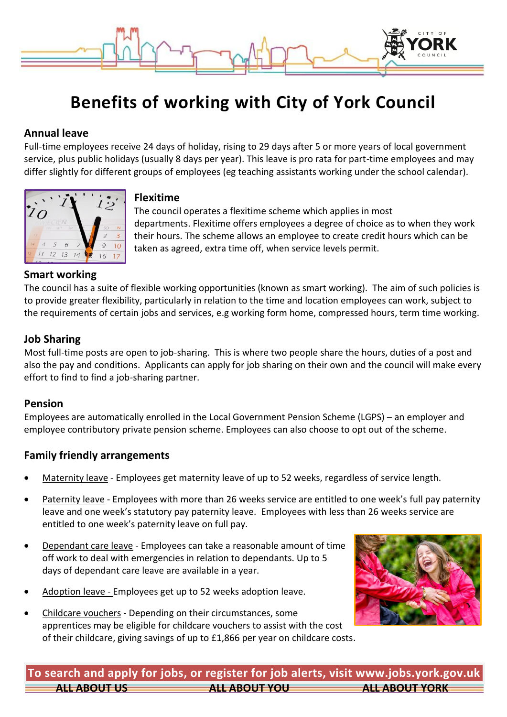

# **Benefits of working with City of York Council**

# **Annual leave**

Full-time employees receive 24 days of holiday, rising to 29 days after 5 or more years of local government service, plus public holidays (usually 8 days per year). This leave is pro rata for part-time employees and may differ slightly for different groups of employees (eg teaching assistants working under the school calendar).



#### **Flexitime**

The council operates a flexitime scheme which applies in most departments. Flexitime offers employees a degree of choice as to when they work their hours. The scheme allows an employee to create credit hours which can be taken as agreed, extra time off, when service levels permit.

# **Smart working**

The council has a suite of flexible working opportunities (known as smart working). The aim of such policies is to provide greater flexibility, particularly in relation to the time and location employees can work, subject to the requirements of certain jobs and services, e.g working form home, compressed hours, term time working.

# **Job Sharing**

Most full-time posts are open to job-sharing. This is where two people share the hours, duties of a post and also the pay and conditions. Applicants can apply for job sharing on their own and the council will make every effort to find to find a job-sharing partner.

#### **Pension**

Employees are automatically enrolled in the Local Government Pension Scheme (LGPS) – an employer and employee contributory private pension scheme. Employees can also choose to opt out of the scheme.

# **Family friendly arrangements**

- Maternity leave Employees get maternity leave of up to 52 weeks, regardless of service length.
- Paternity leave Employees with more than 26 weeks service are entitled to one week's full pay paternity leave and one week's statutory pay paternity leave. Employees with less than 26 weeks service are entitled to one week's paternity leave on full pay.
- Dependant care leave Employees can take a reasonable amount of time off work to deal with emergencies in relation to dependants. Up to 5 days of dependant care leave are available in a year.
- Adoption leave Employees get up to 52 weeks adoption leave.
- Childcare vouchers Depending on their circumstances, some apprentices may be eligible for childcare vouchers to assist with the cost of their childcare, giving savings of up to £1,866 per year on childcare costs.



**ALL ABOUT US ALL ABOUT YOU ALL ABOUT YORK To search and apply for jobs, or register for job alerts, visit www.jobs.york.gov.uk**